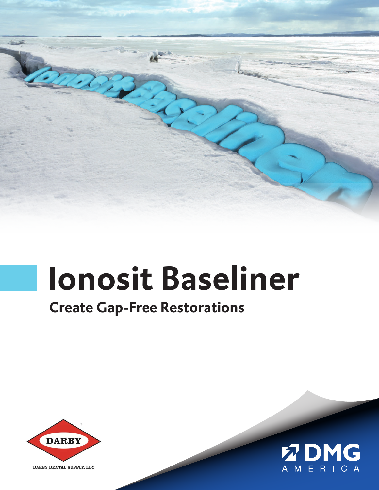

# **Ionosit Baseliner**

### **Create Gap-Free Restorations**



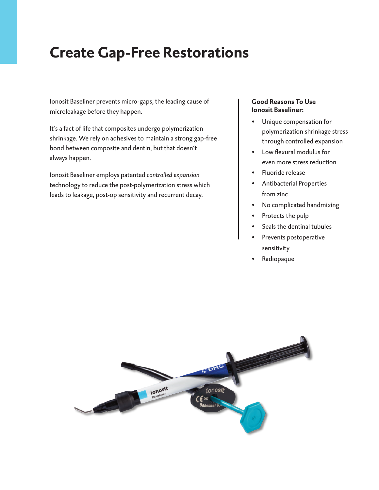## **Create Gap-Free Restorations**

Ionosit Baseliner prevents micro-gaps, the leading cause of microleakage before they happen.

It's a fact of life that composites undergo polymerization shrinkage. We rely on adhesives to maintain a strong gap-free bond between composite and dentin, but that doesn't always happen.

Ionosit Baseliner employs patented *controlled expansion* technology to reduce the post-polymerization stress which leads to leakage, post-op sensitivity and recurrent decay.

#### **Good Reasons To Use Ionosit Baseliner:**

- Unique compensation for polymerization shrinkage stress through controlled expansion
- Low flexural modulus for even more stress reduction
- Fluoride release
- Antibacterial Properties from zinc
- No complicated handmixing
- Protects the pulp
- Seals the dentinal tubules
- Prevents postoperative sensitivity
- Radiopaque

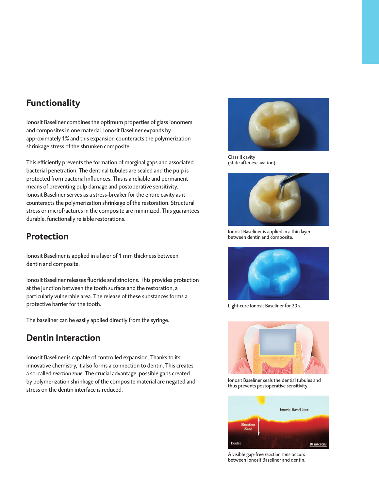#### **Functionality**

Ionosit Baseliner combines the optimum properties of glass ionomers and composites in one material. Ionosit Baseliner expands by approximately 1% and this expansion counteracts the polymerization shrinkage stress of the shrunken composite.

This efficiently prevents the formation of marginal gaps and associated bacterial penetration. The dentinal tubules are sealed and the pulp is protected from bacterial influences. This is a reliable and permanent means of preventing pulp damage and postoperative sensitivity. Ionosit Baseliner serves as a stress-breaker for the entire cavity as it counteracts the polymerization shrinkage of the restoration. Structural stress or microfractures in the composite are minimized. This guarantees durable, functionally reliable restorations.

#### **Protection**

Ionosit Baseliner is applied in a layer of 1 mm thickness between dentin and composite.

Ionosit Baseliner releases fluoride and zinc ions. This provides protection at the junction between the tooth surface and the restoration, a particularly vulnerable area. The release of these substances forms a protective barrier for the tooth.

The baseliner can be easily applied directly from the syringe.

#### **Dentin Interaction**

Ionosit Baseliner is capable of controlled expansion. Thanks to its innovative chemistry, it also forms a connection to dentin. This creates a so-called *reaction zone*. The crucial advantage: possible gaps created by polymerization shrinkage of the composite material are negated and stress on the dentin interface is reduced.



Class II cavity (state after excavation).



Ionosit Baseliner is applied in a thin layer between dentin and composite.



Light-cure Ionosit Baseliner for 20 s.



Ionosit Baseliner seals the dential tubules and thus prevents postoperative sensitivity.



A visible gap-free *reaction zone* occurs between Ionosit Baseliner and dentin.